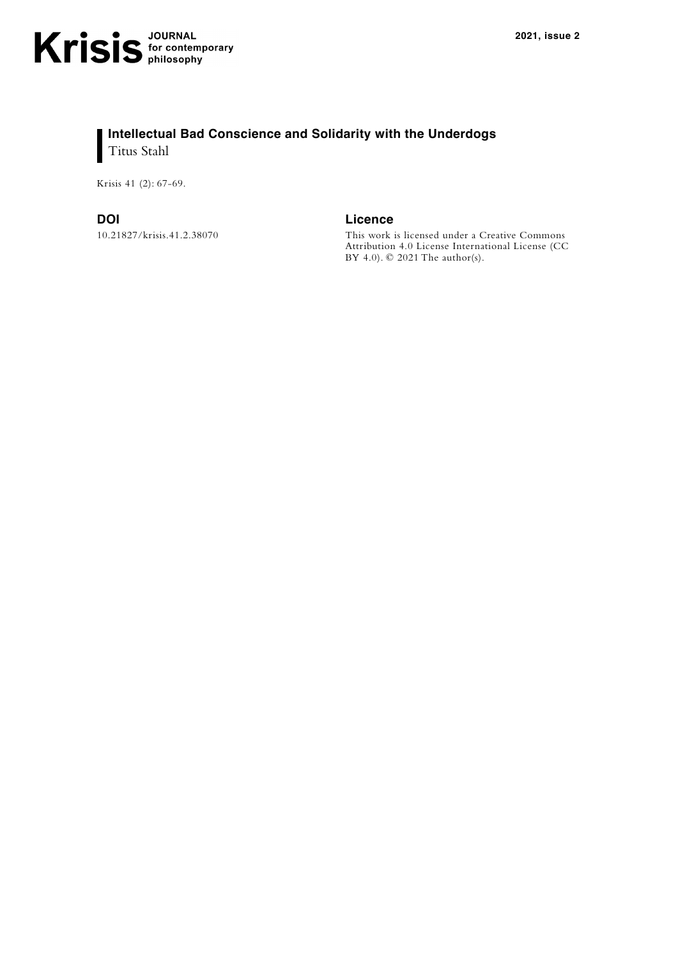## **Intellectual Bad Conscience and Solidarity with the Underdogs** Titus Stahl

Krisis 41 (2): 67-69.

10.21827/krisis.41.2.38070

**DOI Licence**

This work is licensed under a [Creative Commons](https://creativecommons.org/licenses/by-nc/3.0/)  [Attribution 4.0 License](https://creativecommons.org/licenses/by-nc/3.0/) International License (CC BY 4.0). © 2021 The author(s).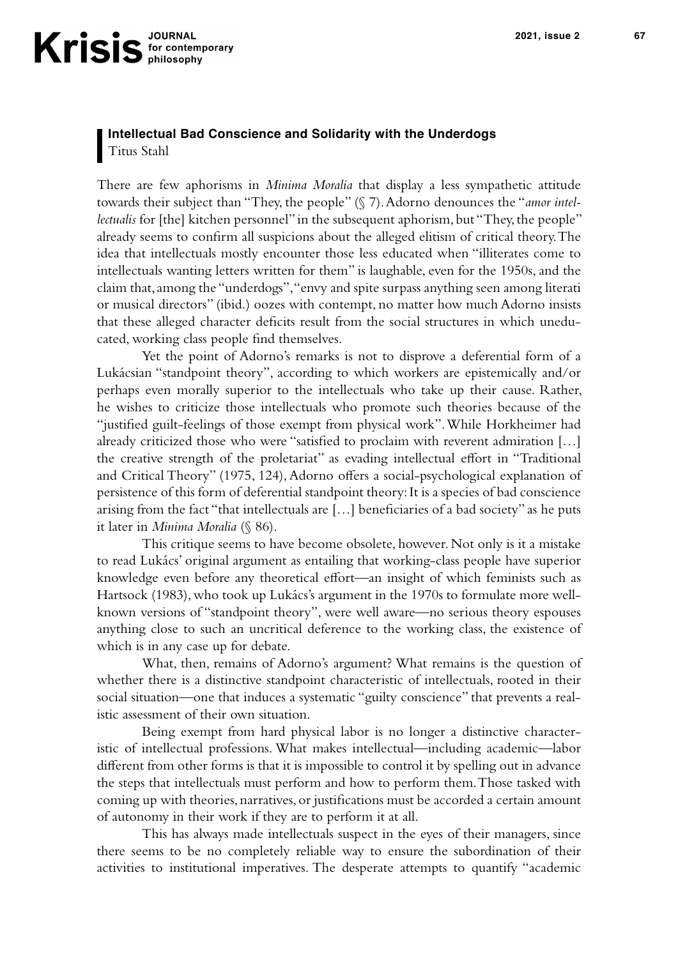## **Intellectual Bad Conscience and Solidarity with the Underdogs** Titus Stahl

There are few aphorisms in *Minima Moralia* that display a less sympathetic attitude towards their subject than "They, the people" (§ 7). Adorno denounces the "*amor intellectualis* for [the] kitchen personnel" in the subsequent aphorism, but "They, the people" already seems to confirm all suspicions about the alleged elitism of critical theory. The idea that intellectuals mostly encounter those less educated when "illiterates come to intellectuals wanting letters written for them" is laughable, even for the 1950s, and the claim that, among the "underdogs", "envy and spite surpass anything seen among literati or musical directors" (ibid.) oozes with contempt, no matter how much Adorno insists that these alleged character deficits result from the social structures in which uneducated, working class people find themselves.

Yet the point of Adorno's remarks is not to disprove a deferential form of a Lukácsian "standpoint theory", according to which workers are epistemically and/or perhaps even morally superior to the intellectuals who take up their cause. Rather, he wishes to criticize those intellectuals who promote such theories because of the "justified guilt-feelings of those exempt from physical work". While Horkheimer had already criticized those who were "satisfied to proclaim with reverent admiration [...] the creative strength of the proletariat" as evading intellectual effort in "Traditional and Critical Theory" (1975, 124), Adorno offers a social-psychological explanation of persistence of this form of deferential standpoint theory: It is a species of bad conscience arising from the fact "that intellectuals are  $[...]$  beneficiaries of a bad society" as he puts it later in *Minima Moralia* (§ 86).

This critique seems to have become obsolete, however. Not only is it a mistake to read Lukács' original argument as entailing that working-class people have superior knowledge even before any theoretical effort—an insight of which feminists such as Hartsock (1983), who took up Lukács's argument in the 1970s to formulate more wellknown versions of "standpoint theory", were well aware—no serious theory espouses anything close to such an uncritical deference to the working class, the existence of which is in any case up for debate.

What, then, remains of Adorno's argument? What remains is the question of whether there is a distinctive standpoint characteristic of intellectuals, rooted in their social situation—one that induces a systematic "guilty conscience" that prevents a realistic assessment of their own situation.

Being exempt from hard physical labor is no longer a distinctive characteristic of intellectual professions. What makes intellectual—including academic—labor different from other forms is that it is impossible to control it by spelling out in advance the steps that intellectuals must perform and how to perform them. Those tasked with coming up with theories, narratives, or justifications must be accorded a certain amount of autonomy in their work if they are to perform it at all.

This has always made intellectuals suspect in the eyes of their managers, since there seems to be no completely reliable way to ensure the subordination of their activities to institutional imperatives. The desperate attempts to quantify "academic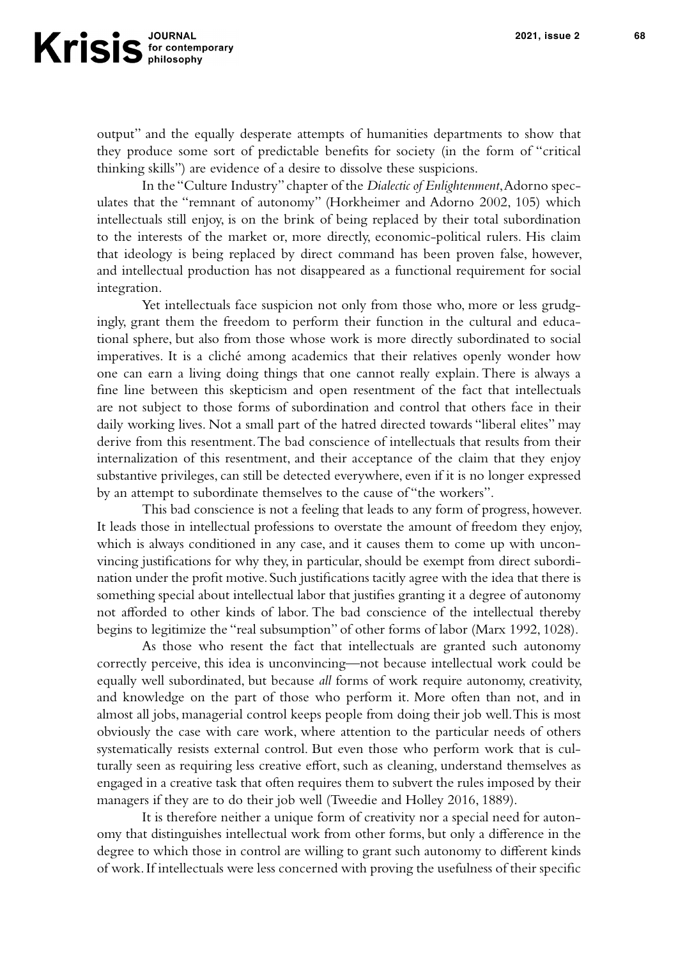output" and the equally desperate attempts of humanities departments to show that they produce some sort of predictable benefits for society (in the form of "critical thinking skills") are evidence of a desire to dissolve these suspicions.

In the "Culture Industry" chapter of the *Dialectic of Enlightenment*, Adorno speculates that the "remnant of autonomy" (Horkheimer and Adorno 2002, 105) which intellectuals still enjoy, is on the brink of being replaced by their total subordination to the interests of the market or, more directly, economic-political rulers. His claim that ideology is being replaced by direct command has been proven false, however, and intellectual production has not disappeared as a functional requirement for social integration.

Yet intellectuals face suspicion not only from those who, more or less grudgingly, grant them the freedom to perform their function in the cultural and educational sphere, but also from those whose work is more directly subordinated to social imperatives. It is a cliché among academics that their relatives openly wonder how one can earn a living doing things that one cannot really explain. There is always a fine line between this skepticism and open resentment of the fact that intellectuals are not subject to those forms of subordination and control that others face in their daily working lives. Not a small part of the hatred directed towards "liberal elites" may derive from this resentment. The bad conscience of intellectuals that results from their internalization of this resentment, and their acceptance of the claim that they enjoy substantive privileges, can still be detected everywhere, even if it is no longer expressed by an attempt to subordinate themselves to the cause of "the workers".

This bad conscience is not a feeling that leads to any form of progress, however. It leads those in intellectual professions to overstate the amount of freedom they enjoy, which is always conditioned in any case, and it causes them to come up with unconvincing justifications for why they, in particular, should be exempt from direct subordination under the profit motive. Such justifications tacitly agree with the idea that there is something special about intellectual labor that justifies granting it a degree of autonomy not afforded to other kinds of labor. The bad conscience of the intellectual thereby begins to legitimize the "real subsumption" of other forms of labor (Marx 1992, 1028).

As those who resent the fact that intellectuals are granted such autonomy correctly perceive, this idea is unconvincing—not because intellectual work could be equally well subordinated, but because *all* forms of work require autonomy, creativity, and knowledge on the part of those who perform it. More often than not, and in almost all jobs, managerial control keeps people from doing their job well. This is most obviously the case with care work, where attention to the particular needs of others systematically resists external control. But even those who perform work that is culturally seen as requiring less creative effort, such as cleaning, understand themselves as engaged in a creative task that often requires them to subvert the rules imposed by their managers if they are to do their job well (Tweedie and Holley 2016, 1889).

It is therefore neither a unique form of creativity nor a special need for autonomy that distinguishes intellectual work from other forms, but only a difference in the degree to which those in control are willing to grant such autonomy to different kinds of work. If intellectuals were less concerned with proving the usefulness of their specific